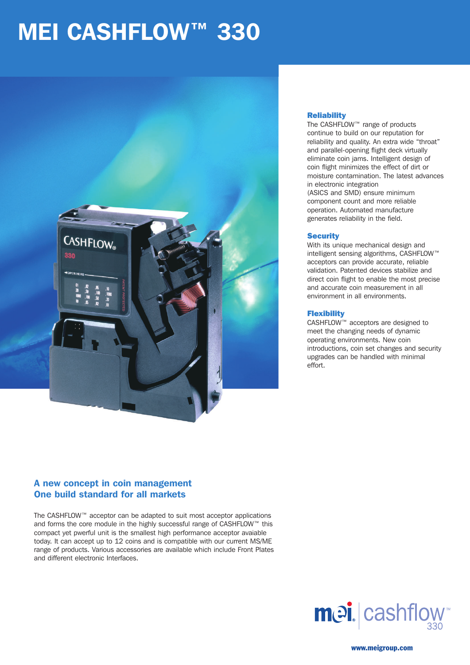# **MEI CASHFLOW™ 330**



### **Reliability**

The CASHFLOW™ range of products continue to build on our reputation for reliability and quality. An extra wide "throat" and parallel-opening flight deck virtually eliminate coin jams. Intelligent design of coin flight minimizes the effect of dirt or moisture contamination. The latest advances in electronic integration (ASICS and SMD) ensure minimum component count and more reliable operation. Automated manufacture generates reliability in the field.

#### **Security**

With its unique mechanical design and intelligent sensing algorithms, CASHFLOW™ acceptors can provide accurate, reliable validation. Patented devices stabilize and direct coin flight to enable the most precise and accurate coin measurement in all environment in all environments.

## **Flexibility**

CASHFLOW™ acceptors are designed to meet the changing needs of dynamic operating environments. New coin introductions, coin set changes and security upgrades can be handled with minimal effort.

# A new concept in coin management One build standard for all markets

The CASHFLOW™ acceptor can be adapted to suit most acceptor applications and forms the core module in the highly successful range of CASHFLOW™ this compact yet pwerful unit is the smallest high performance acceptor avaiable today. It can accept up to 12 coins and is compatible with our current MS/ME range of products. Various accessories are available which include Front Plates and different electronic Interfaces.



www.meigroup.com